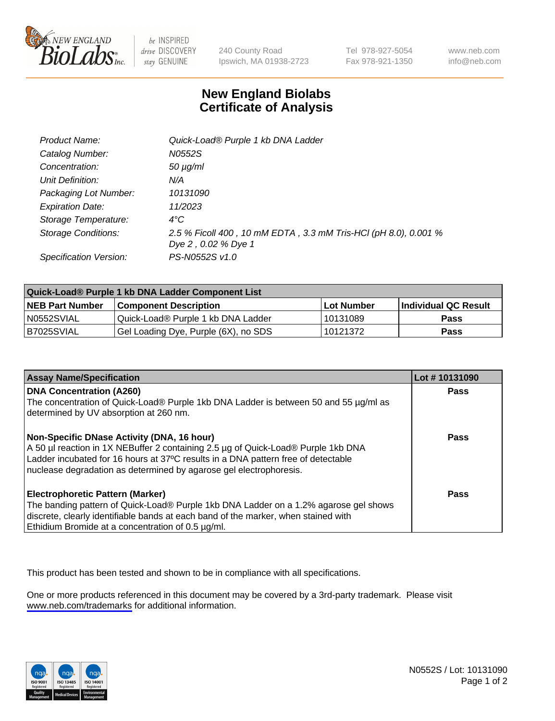

be INSPIRED drive DISCOVERY stay GENUINE

240 County Road Ipswich, MA 01938-2723 Tel 978-927-5054 Fax 978-921-1350

www.neb.com info@neb.com

## **New England Biolabs Certificate of Analysis**

| Product Name:           | Quick-Load® Purple 1 kb DNA Ladder                              |
|-------------------------|-----------------------------------------------------------------|
| Catalog Number:         | N0552S                                                          |
| Concentration:          | $50 \mu g/ml$                                                   |
| Unit Definition:        | N/A                                                             |
| Packaging Lot Number:   | 10131090                                                        |
| <b>Expiration Date:</b> | 11/2023                                                         |
| Storage Temperature:    | $4^{\circ}C$                                                    |
| Storage Conditions:     | 2.5 % Ficoll 400, 10 mM EDTA, 3.3 mM Tris-HCl (pH 8.0), 0.001 % |
|                         | Dye 2, 0.02 % Dye 1                                             |
| Specification Version:  | PS-N0552S v1.0                                                  |

| Quick-Load® Purple 1 kb DNA Ladder Component List |                                      |              |                      |  |
|---------------------------------------------------|--------------------------------------|--------------|----------------------|--|
| <b>NEB Part Number</b>                            | <b>Component Description</b>         | l Lot Number | Individual QC Result |  |
| N0552SVIAL                                        | Quick-Load® Purple 1 kb DNA Ladder   | 10131089     | <b>Pass</b>          |  |
| I B7025SVIAL                                      | Gel Loading Dye, Purple (6X), no SDS | 10121372     | <b>Pass</b>          |  |

| <b>Assay Name/Specification</b>                                                                                         | Lot #10131090 |
|-------------------------------------------------------------------------------------------------------------------------|---------------|
| <b>DNA Concentration (A260)</b><br>The concentration of Quick-Load® Purple 1kb DNA Ladder is between 50 and 55 µg/ml as | <b>Pass</b>   |
| determined by UV absorption at 260 nm.                                                                                  |               |
| Non-Specific DNase Activity (DNA, 16 hour)                                                                              | <b>Pass</b>   |
| A 50 µl reaction in 1X NEBuffer 2 containing 2.5 µg of Quick-Load® Purple 1kb DNA                                       |               |
| Ladder incubated for 16 hours at 37°C results in a DNA pattern free of detectable                                       |               |
| nuclease degradation as determined by agarose gel electrophoresis.                                                      |               |
| <b>Electrophoretic Pattern (Marker)</b>                                                                                 | Pass          |
| The banding pattern of Quick-Load® Purple 1kb DNA Ladder on a 1.2% agarose gel shows                                    |               |
| discrete, clearly identifiable bands at each band of the marker, when stained with                                      |               |
| Ethidium Bromide at a concentration of 0.5 µg/ml.                                                                       |               |

This product has been tested and shown to be in compliance with all specifications.

One or more products referenced in this document may be covered by a 3rd-party trademark. Please visit <www.neb.com/trademarks>for additional information.